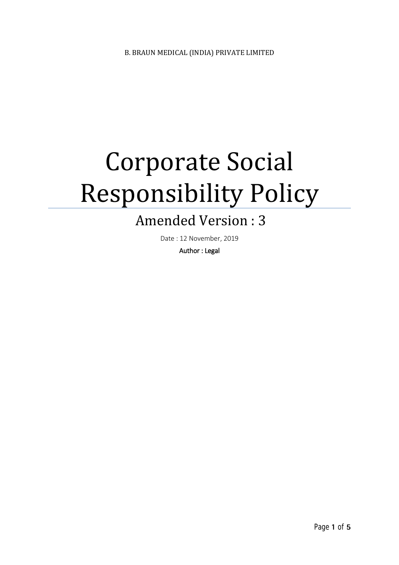# Corporate Social Responsibility Policy

# Amended Version : 3

Date : 12 November, 2019

Author : Legal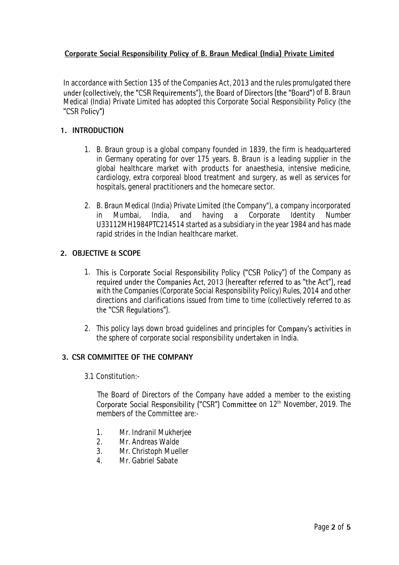### **Corporate Social Responsibility Policy of B. Braun Medical (India) Private Limited**

In accordance with Section 135 of the Companies Act, 2013 and the rules promulgated there under (collectively, the "CSR Requirements"), the Board of Directors (the "Board") of B. Braun Medical (India) Private Limited has adopted this Corporate Social Responsibility Policy (the "CSR Policy")

#### **1. INTRODUCTION**

- 1. B. Braun group is a global company founded in 1839, the firm is headquartered in Germany operating for over 175 years. B. Braun is a leading supplier in the global healthcare market with products for anaesthesia, intensive medicine, cardiology, extra corporeal blood treatment and surgery, as well as services for hospitals, general practitioners and the homecare sector.
- 2. B. Braun Medical (India) Private Limited (the Company"), a company incorporated in Mumbai, India, and having a Corporate Identity Number U33112MH1984PTC214514 started as a subsidiary in the year 1984 and has made rapid strides in the Indian healthcare market.

#### **2. OBJECTIVE & SCOPE**

- 1. This is Corporate Social Responsibility Policy ("CSR Policy") of the Company as required under the Companies Act, 2013 (hereafter referred to as "the Act"), read with the Companies (Corporate Social Responsibility Policy) Rules, 2014 and other directions and clarifications issued from time to time (collectively referred to as the "CSR Regulations").
- 2. This policy lays down broad quidelines and principles for **Company's activities in** the sphere of corporate social responsibility undertaken in India.

# **3. CSR COMMITTEE OF THE COMPANY**

3.1 Constitution:-

The Board of Directors of the Company have added a member to the existing on 12 th November, 2019. The members of the Committee are:-

- 1. Mr. Indranil Mukherjee
- 2. Mr. Andreas Walde
- 3. Mr. Christoph Mueller
- 4. Mr. Gabriel Sabate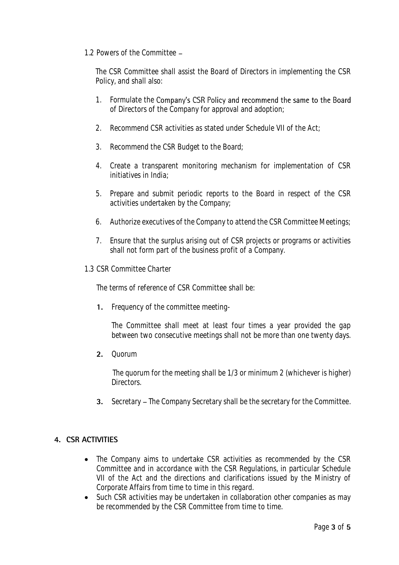#### 1.2 Powers of the Committee

The CSR Committee shall assist the Board of Directors in implementing the CSR Policy, and shall also:

- 1. Formulate the Company's CSR Policy and recommend the same to the Board of Directors of the Company for approval and adoption;
- 2. Recommend CSR activities as stated under Schedule VII of the Act;
- 3. Recommend the CSR Budget to the Board;
- 4. Create a transparent monitoring mechanism for implementation of CSR initiatives in India;
- 5. Prepare and submit periodic reports to the Board in respect of the CSR activities undertaken by the Company;
- 6. Authorize executives of the Company to attend the CSR Committee Meetings;
- 7. Ensure that the surplus arising out of CSR projects or programs or activities shall not form part of the business profit of a Company.
- 1.3 CSR Committee Charter

The terms of reference of CSR Committee shall be:

**1.** Frequency of the committee meeting-

The Committee shall meet at least four times a year provided the gap between two consecutive meetings shall not be more than one twenty days.

**2.** Quorum

The quorum for the meeting shall be 1/3 or minimum 2 (whichever is higher) Directors.

**3.** Secretary – The Company Secretary shall be the secretary for the Committee.

# **4. CSR ACTIVITIES**

- The Company aims to undertake CSR activities as recommended by the CSR Committee and in accordance with the CSR Regulations, in particular Schedule VII of the Act and the directions and clarifications issued by the Ministry of Corporate Affairs from time to time in this regard.
- Such CSR activities may be undertaken in collaboration other companies as may be recommended by the CSR Committee from time to time.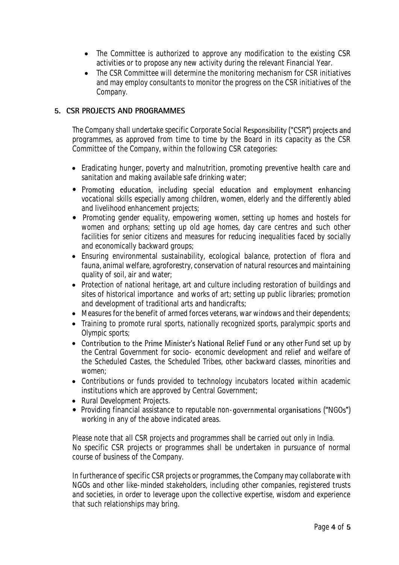- The Committee is authorized to approve any modification to the existing CSR activities or to propose any new activity during the relevant Financial Year.
- The CSR Committee will determine the monitoring mechanism for CSR initiatives and may employ consultants to monitor the progress on the CSR initiatives of the Company.

### **5. CSR PROJECTS AND PROGRAMMES**

The Company shall undertake specific Corporate Social Responsibility ("CSR") projects and programmes, as approved from time to time by the Board in its capacity as the CSR Committee of the Company, within the following CSR categories:

- Eradicating hunger, poverty and malnutrition, promoting preventive health care and sanitation and making available safe drinking water;
- Promoting education, including special education and employment enhancing vocational skills especially among children, women, elderly and the differently abled and livelihood enhancement projects;
- Promoting gender equality, empowering women, setting up homes and hostels for women and orphans; setting up old age homes, day care centres and such other facilities for senior citizens and measures for reducing inequalities faced by socially and economically backward groups;
- Ensuring environmental sustainability, ecological balance, protection of flora and fauna, animal welfare, agroforestry, conservation of natural resources and maintaining quality of soil, air and water;
- Protection of national heritage, art and culture including restoration of buildings and sites of historical importance and works of art; setting up public libraries; promotion and development of traditional arts and handicrafts;
- Measures for the benefit of armed forces veterans, war windows and their dependents;
- Training to promote rural sports, nationally recognized sports, paralympic sports and Olympic sports;
- Contribution to the Prime Minister's National Relief Fund or any other Fund set up by the Central Government for socio- economic development and relief and welfare of the Scheduled Castes, the Scheduled Tribes, other backward classes, minorities and women;
- Contributions or funds provided to technology incubators located within academic institutions which are approved by Central Government;
- Rural Development Projects.
- Providing financial assistance to reputable non-governmental organisations ("NGOs") working in any of the above indicated areas.

Please note that all CSR projects and programmes shall be carried out only in India. No specific CSR projects or programmes shall be undertaken in pursuance of normal course of business of the Company.

In furtherance of specific CSR projects or programmes, the Company may collaborate with NGOs and other like-minded stakeholders, including other companies, registered trusts and societies, in order to leverage upon the collective expertise, wisdom and experience that such relationships may bring.